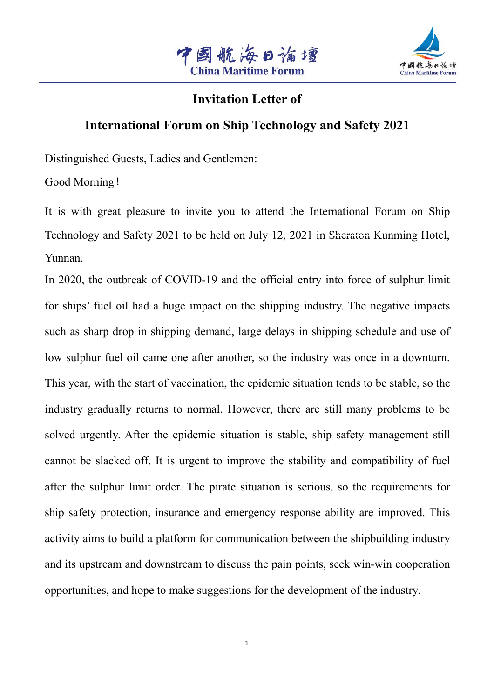



### **Invitation Letter of**

# **International Forum on Ship Technology and Safety 2021**

Distinguished Guests, Ladies and Gentlemen:

Good Morning!

It is with great pleasure to invite you to attend the International Forum on Ship Text Technology and Safety 2021<br>
The Matridian Letter of<br>
International Forum on Ship Technology and Safety 2021<br>
Distinguished Guests, Ladies and Gentlemen:<br>
Good Morning !<br>
It is with great pleasure to invite you to att Yunnan.

In 2020, the outbreak of COVID-19 and the official entry into force of sulphur limit for ships' fuel oil had a huge impact on the shipping industry. The negative impacts such as sharp drop in shipping demand, large delays in shipping schedule and use of low sulphur fuel oil came one after another, so the industry was once in a downturn. This year, with the start of vaccination, the epidemic situation tends to be stable, so the industry gradually returns to normal. However, there are still many problems to be solved urgently. After the epidemic situation is stable, ship safety management still cannot be slacked off. It is urgent to improve the stability and compatibility of fuel after the sulphur limit order. The pirate situation is serious, so the requirements for ship safety protection, insurance and emergency response ability are improved. This activity aims to build a platform for communication between the shipbuilding industry and its upstream and downstream to discuss the pain points, seek win-win cooperation opportunities, and hope to make suggestions for the development of the industry.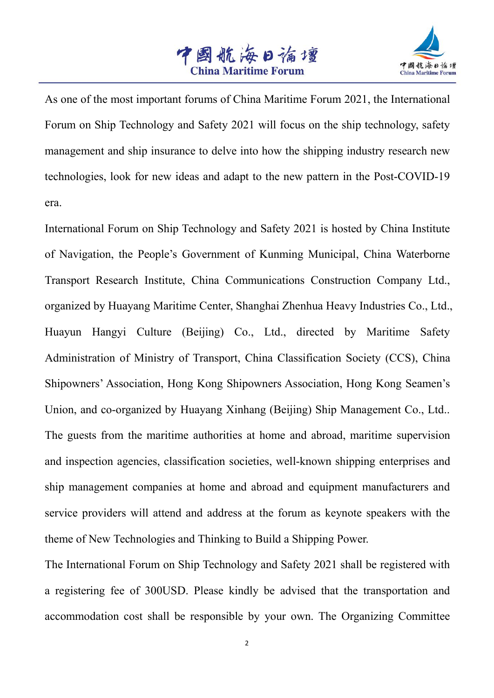



As one of the most important forums of China Maritime Forum 2021, the International Forum on Ship Technology and Safety 2021 will focus on the ship technology, safety management and ship insurance to delve into how the shipping industry research new technologies, look for new ideas and adapt to the new pattern in the Post-COVID-19 era.

International Forum on Ship Technology and Safety 2021 is hosted by China Institute of Navigation, the People's Government of Kunming Municipal,China Waterborne Transport Research Institute, China Communications Construction Company Ltd., organized by Huayang Maritime Center, Shanghai Zhenhua Heavy Industries Co., Ltd., Huayun Hangyi Culture (Beijing) Co., Ltd., directed by Maritime Safety Administration of Ministry of Transport, China Classification Society (CCS), China Shipowners' Association, Hong Kong Shipowners Association, Hong Kong Seamen's Union, and co-organized by Huayang Xinhang (Beijing) Ship Management Co., Ltd.. The guests from the maritime authorities at home and abroad, maritime supervision and inspection agencies, classification societies, well-known shipping enterprises and ship management companies at home and abroad and equipment manufacturers and service providers will attend and address at the forum as keynote speakers with the theme of New Technologies and Thinking to Build a Shipping Power.

The International Forum on Ship Technology and Safety 2021 shall be registered with a registering fee of 300USD. Please kindly be advised that the transportation and accommodation cost shall be responsible by your own. The Organizing Committee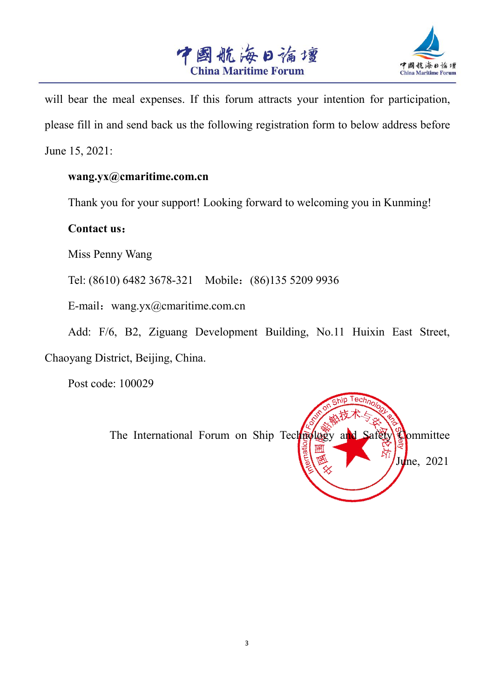



will bear the meal expenses. If this forum attracts your intention for participation, please fill in and send back us the following registration form to below address before June 15, 2021:

#### **wang.yx@cmaritime.com.cn**

Thank you for your support! Looking forward to welcoming you in Kunming!

### **Contact us**:

Miss Penny Wang

Tel: (8610) 6482 3678-321 Mobile:(86)135 5209 9936

E-mail: wang.yx@cmaritime.com.cn

Add: F/6, B2, Ziguang Development Building, No.11 Huixin East Street, Chaoyang District, Beijing, China.

Post code: 100029

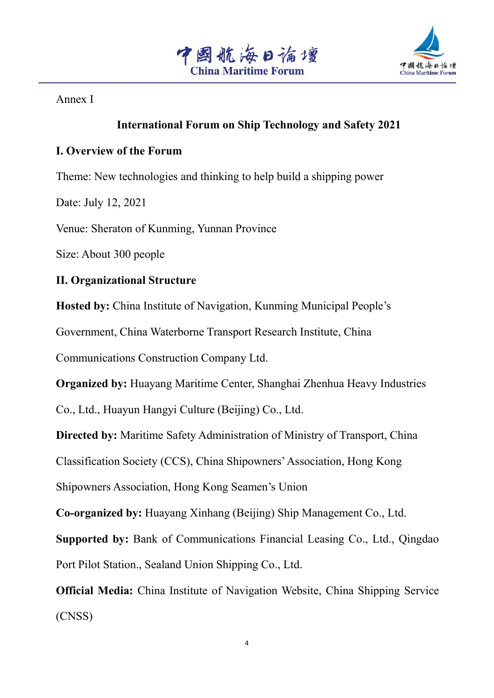



Annex I

### **International Forum on Ship Technology and Safety 2021**

### **I. Overview of the Forum**

Theme: New technologies and thinking to help build a shipping power

Date: July 12, 2021

Venue: Sheraton of Kunming, Yunnan Province

Size: About 300 people

### **II. Organizational Structure**

**Hosted by:** China Institute of Navigation, Kunming Municipal People's

Government, China Waterborne Transport Research Institute, China

Communications Construction Company Ltd.

**Organized by:** Huayang Maritime Center, Shanghai Zhenhua Heavy Industries

Co., Ltd., Huayun Hangyi Culture (Beijing) Co., Ltd.

**Directed by:** Maritime Safety Administration of Ministry of Transport, China

Classification Society (CCS), China Shipowners'Association, Hong Kong

Shipowners Association, Hong Kong Seamen's Union

**Co-organized by:** Huayang Xinhang (Beijing) Ship Management Co., Ltd.

**Supported by:** Bank of Communications Financial Leasing Co., Ltd., Qingdao Port Pilot Station., Sealand Union Shipping Co., Ltd.

**Official Media:** China Institute of Navigation Website, China Shipping Service (CNSS)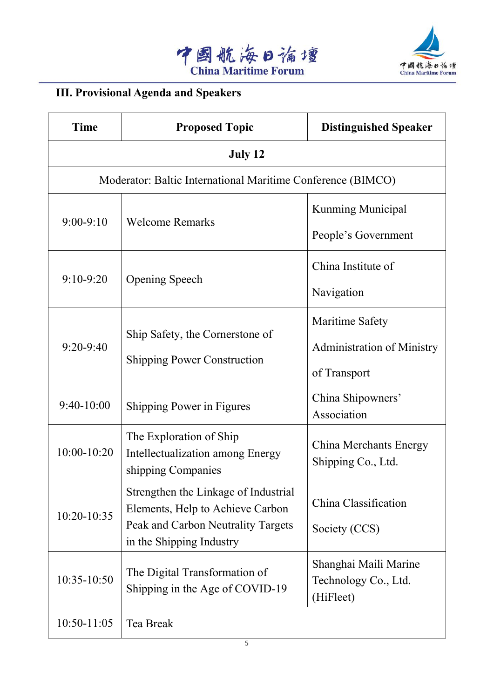



# **III. Provisional Agenda and Speakers**

| <b>Time</b>     | <b>Proposed Topic</b>                                                                                                                      | <b>Distinguished Speaker</b>                                         |
|-----------------|--------------------------------------------------------------------------------------------------------------------------------------------|----------------------------------------------------------------------|
|                 | July 12                                                                                                                                    |                                                                      |
|                 | Moderator: Baltic International Maritime Conference (BIMCO)                                                                                |                                                                      |
| $9:00-9:10$     | <b>Welcome Remarks</b>                                                                                                                     | <b>Kunming Municipal</b><br>People's Government                      |
| $9:10-9:20$     | Opening Speech                                                                                                                             | China Institute of<br>Navigation                                     |
| $9:20-9:40$     | Ship Safety, the Cornerstone of<br><b>Shipping Power Construction</b>                                                                      | Maritime Safety<br><b>Administration of Ministry</b><br>of Transport |
| $9:40-10:00$    | Shipping Power in Figures                                                                                                                  | China Shipowners'<br>Association                                     |
| $10:00 - 10:20$ | The Exploration of Ship<br>Intellectualization among Energy<br>shipping Companies                                                          | China Merchants Energy<br>Shipping Co., Ltd.                         |
| $10:20-10:35$   | Strengthen the Linkage of Industrial<br>Elements, Help to Achieve Carbon<br>Peak and Carbon Neutrality Targets<br>in the Shipping Industry | China Classification<br>Society (CCS)                                |
| 10:35-10:50     | The Digital Transformation of<br>Shipping in the Age of COVID-19                                                                           | Shanghai Maili Marine<br>Technology Co., Ltd.<br>(HiFleet)           |
| $10:50 - 11:05$ | Tea Break                                                                                                                                  |                                                                      |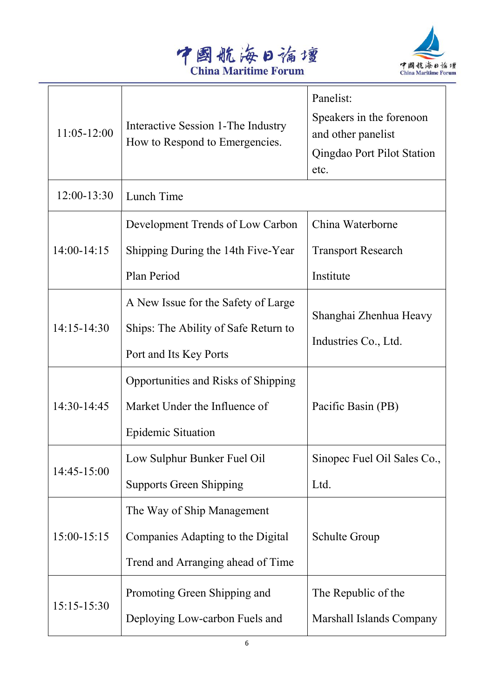



| $11:05 - 12:00$ | Interactive Session 1-The Industry<br>How to Respond to Emergencies.                                  | Panelist:<br>Speakers in the forenoon<br>and other panelist<br>Qingdao Port Pilot Station<br>etc. |
|-----------------|-------------------------------------------------------------------------------------------------------|---------------------------------------------------------------------------------------------------|
| 12:00-13:30     | Lunch Time                                                                                            |                                                                                                   |
| 14:00-14:15     | Development Trends of Low Carbon<br>Shipping During the 14th Five-Year<br>Plan Period                 | China Waterborne<br><b>Transport Research</b><br>Institute                                        |
| 14:15-14:30     | A New Issue for the Safety of Large<br>Ships: The Ability of Safe Return to<br>Port and Its Key Ports | Shanghai Zhenhua Heavy<br>Industries Co., Ltd.                                                    |
| 14:30-14:45     | Opportunities and Risks of Shipping<br>Market Under the Influence of<br><b>Epidemic Situation</b>     | Pacific Basin (PB)                                                                                |
| $14:45 - 15:00$ | Low Sulphur Bunker Fuel Oil<br><b>Supports Green Shipping</b>                                         | Sinopec Fuel Oil Sales Co.,<br>Ltd.                                                               |
| $15:00-15:15$   | The Way of Ship Management<br>Companies Adapting to the Digital<br>Trend and Arranging ahead of Time  | Schulte Group                                                                                     |
| $15:15-15:30$   | Promoting Green Shipping and<br>Deploying Low-carbon Fuels and                                        | The Republic of the<br>Marshall Islands Company                                                   |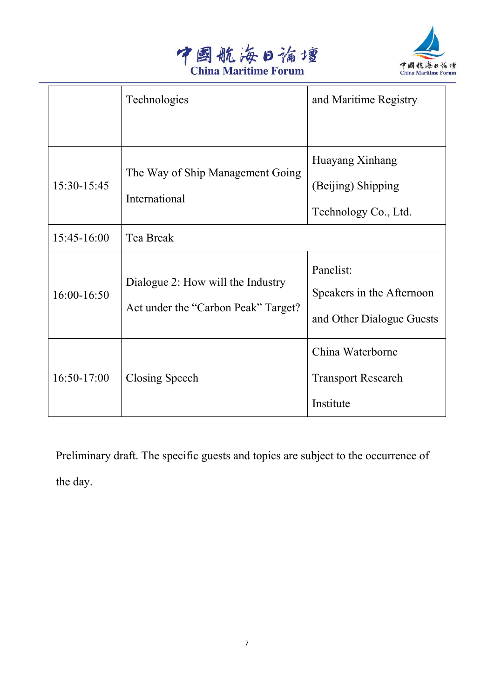



|                                                                  | Technologies                        | and Maritime Registry     |
|------------------------------------------------------------------|-------------------------------------|---------------------------|
|                                                                  |                                     |                           |
| The Way of Ship Management Going<br>15:30-15:45<br>International |                                     | Huayang Xinhang           |
|                                                                  | (Beijing) Shipping                  |                           |
|                                                                  |                                     | Technology Co., Ltd.      |
| 15:45-16:00                                                      | Tea Break                           |                           |
|                                                                  |                                     | Panelist:                 |
| Dialogue 2: How will the Industry<br>16:00-16:50                 | Speakers in the Afternoon           |                           |
|                                                                  | Act under the "Carbon Peak" Target? | and Other Dialogue Guests |
|                                                                  |                                     | China Waterborne          |
| $16:50-17:00$                                                    | Closing Speech                      | <b>Transport Research</b> |
|                                                                  |                                     | Institute                 |

Preliminary draft. The specific guests and topics are subject to the occurrence of the day.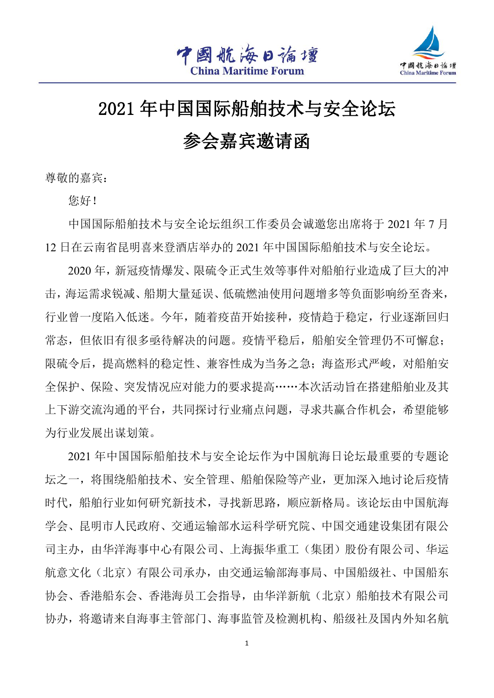

# 2021 年中国国际船舶技术与安全论坛

参会嘉宾邀请函

尊敬的嘉宾:

您好!

中国国际船舶技术与安全论坛组织工作委员会诚邀您出席将于 2021 年 7 月 12 日在云南省昆明喜来登酒店举办的 2021 年中国国际船舶技术与安全论坛。

2020 年,新冠疫情爆发、限硫令正式生效等事件对船舶行业造成了巨大的冲 击,海运需求锐减、船期大量延误、低硫燃油使用问题增多等负面影响纷至沓来, 行业曾一度陷入低迷。今年,随着疫苗开始接种,疫情趋于稳定,行业逐渐回归 常态, 但依旧有很多亟待解决的问题。疫情平稳后, 船舶安全管理仍不可懈怠; 限硫令后,提高燃料的稳定性、兼容性成为当务之急;海盗形式严峻,对船舶安 全保护、保险、突发情况应对能力的要求提高……本次活动旨在搭建船舶业及其 上下游交流沟通的平台,共同探讨行业痛点问题,寻求共赢合作机会,希望能够 为行业发展出谋划策。

2021 年中国国际船舶技术与安全论坛作为中国航海日论坛最重要的专题论 坛之一,将围绕船舶技术、安全管理、船舶保险等产业,更加深入地讨论后疫情 时代,船舶行业如何研究新技术,寻找新思路,顺应新格局。该论坛由中国航海 学会、昆明市人民政府、交通运输部水运科学研究院、中国交通建设集团有限公 司主办,由华洋海事中心有限公司、上海振华重工(集团)股份有限公司、华运 航意文化(北京)有限公司承办,由交通运输部海事局、中国船级社、中国船东 协会、香港船东会、香港海员工会指导,由华洋新航(北京)船舶技术有限公司 协办,将邀请来自海事主管部门、海事监管及检测机构、船级社及国内外知名航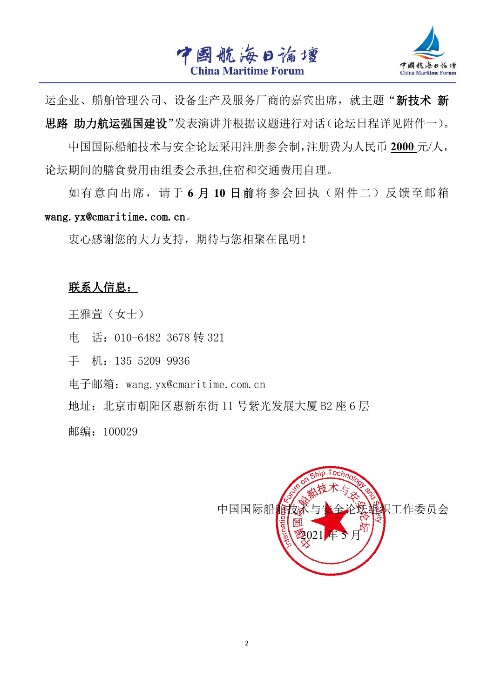



运企业、船舶管理公司、设备生产及服务厂商的嘉宾出席,就主题"新技术 新 思路 助力航运强国建设"发表演讲并根据议题进行对话(论坛日程详见附件一)。

中国国际船舶技术与安全论坛采用注册参会制,注册费为人民币 **2000** 元/人, 论坛期间的膳食费用由组委会承担,住宿和交通费用自理。

如有意向出席,请于 **6** 月 **10** 日前将参会回执(附件二)反馈至邮箱 wang.yx@cmaritime.com.cn。

衷心感谢您的大力支持,期待与您相聚在昆明!

### 联系人信息:

王雅萱(女士)

电话: 010-6482 3678 转 321

手 机:135 5209 9936

电子邮箱:wang.yx@cmaritime.com.cn

地址: 北京市朝阳区惠新东街 11 号紫光发展大厦 B2 座 6 层

邮编: 100029

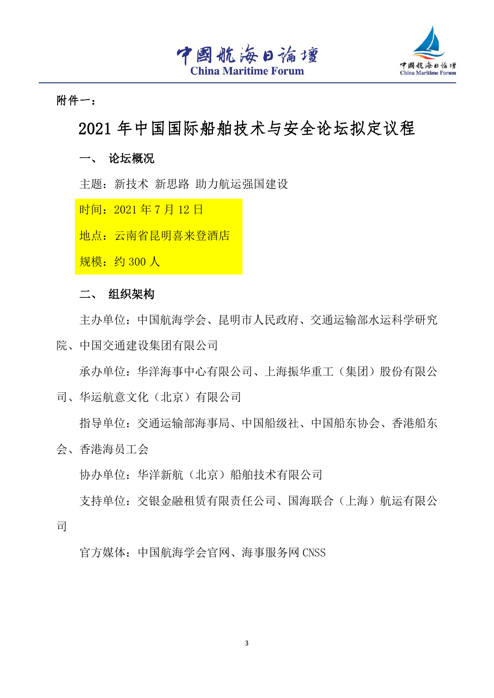



附件一:

# 2021 年中国国际船舶技术与安全论坛拟定议程

一、 论坛概况

主题:新技术 新思路 助力航运强国建设

时间: 2021年7月12日

地点:云南省昆明喜来登酒店

规模:约 300 人

#### 二、 组织架构

主办单位:中国航海学会、昆明市人民政府、交通运输部水运科学研究 院、中国交通建设集团有限公司

承办单位:华洋海事中心有限公司、上海振华重工(集团)股份有限公 司、华运航意文化(北京)有限公司

指导单位:交通运输部海事局、中国船级社、中国船东协会、香港船东 会、香港海员工会

协办单位:华洋新航(北京)船舶技术有限公司

支持单位:交银金融租赁有限责任公司、国海联合(上海)航运有限公 司 コンピュータ しゅうしょう しょうしょく

官方媒体:中国航海学会官网、海事服务网 CNSS